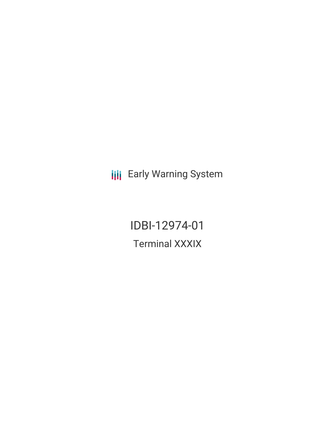**III** Early Warning System

IDBI-12974-01 Terminal XXXIX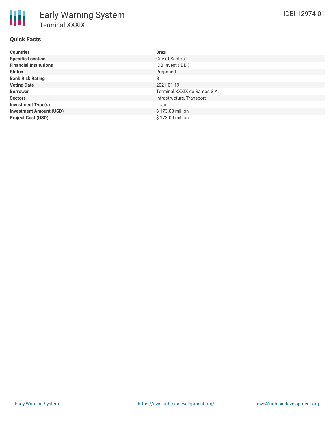## **Quick Facts**

| <b>Countries</b>               | <b>Brazil</b>                 |
|--------------------------------|-------------------------------|
| <b>Specific Location</b>       | City of Santos                |
| <b>Financial Institutions</b>  | IDB Invest (IDBI)             |
| <b>Status</b>                  | Proposed                      |
| <b>Bank Risk Rating</b>        | B                             |
| <b>Voting Date</b>             | 2021-01-19                    |
| <b>Borrower</b>                | Terminal XXXIX de Santos S.A. |
| <b>Sectors</b>                 | Infrastructure, Transport     |
| <b>Investment Type(s)</b>      | Loan                          |
| <b>Investment Amount (USD)</b> | \$173.00 million              |
| <b>Project Cost (USD)</b>      | \$173.00 million              |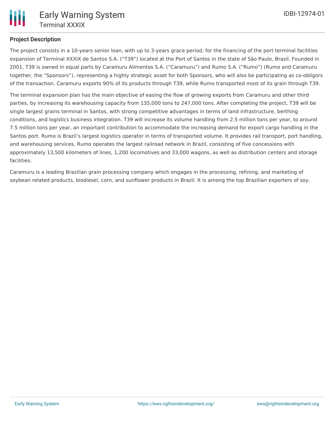

## **Project Description**

The project consists in a 10-years senior loan, with up to 3-years grace period, for the financing of the port terminal facilities expansion of Terminal XXXIX de Santos S.A. ("T39") located at the Port of Santos in the state of São Paulo, Brazil. Founded in 2001, T39 is owned in equal parts by Caramuru Alimentos S.A. ("Caramuru") and Rumo S.A. ("Rumo") (Rumo and Caramuru together, the "Sponsors"), representing a highly strategic asset for both Sponsors, who will also be participating as co-obligors of the transaction. Caramuru exports 90% of its products through T39, while Rumo transported most of its grain through T39.

The terminal expansion plan has the main objective of easing the flow of growing exports from Caramuru and other third parties, by increasing its warehousing capacity from 135,000 tons to 247,000 tons. After completing the project, T39 will be single largest grains terminal in Santos, with strong competitive advantages in terms of land infrastructure, berthing conditions, and logistics business integration. T39 will increase its volume handling from 2.5 million tons per year, to around 7.5 million tons per year, an important contribution to accommodate the increasing demand for export cargo handling in the Santos port. Rumo is Brazil's largest logistics operator in terms of transported volume. It provides rail transport, port handling, and warehousing services. Rumo operates the largest railroad network in Brazil, consisting of five concessions with approximately 13,500 kilometers of lines, 1,200 locomotives and 33,000 wagons, as well as distribution centers and storage facilities.

Caramuru is a leading Brazilian grain processing company which engages in the processing, refining, and marketing of soybean related products, biodiesel, corn, and sunflower products in Brazil. It is among the top Brazilian exporters of soy.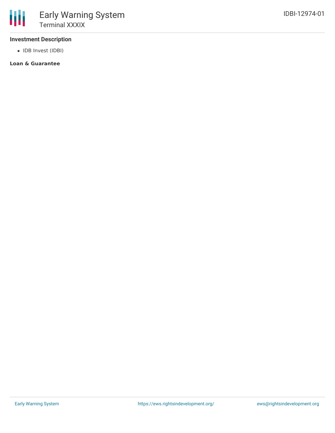## **Investment Description**

• IDB Invest (IDBI)

## **Loan & Guarantee**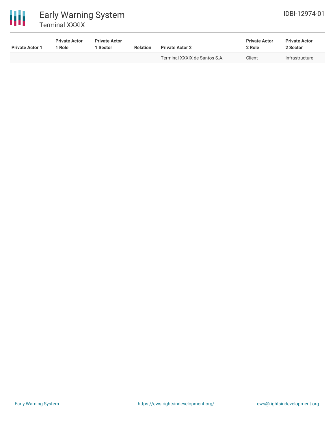

# Early Warning System Terminal XXXIX

| <b>Private Actor 1</b> | <b>Private Actor</b><br>Role | <b>Private Actor</b><br><b>Sector</b> | <b>Relation</b> | <b>Private Actor 2</b>        | <b>Private Actor</b><br>2 Role | <b>Private Actor</b><br>2 Sector |
|------------------------|------------------------------|---------------------------------------|-----------------|-------------------------------|--------------------------------|----------------------------------|
| $\sim$                 |                              | $\sim$                                | . .             | Terminal XXXIX de Santos S.A. | Client                         | Infrastructure                   |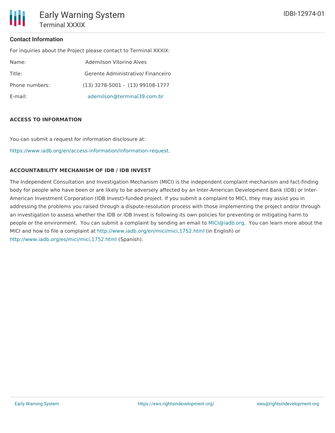## **Contact Information**

For inquiries about the Project please contact to Terminal XXXIX:

| Name:          | Ademilson Vitorino Alves             |
|----------------|--------------------------------------|
| Title:         | Gerente Administrativo/ Financeiro   |
| Phone numbers: | $(13)$ 3278-5001 - $(13)$ 99108-1777 |
| E-mail:        | ademilson@terminal39.com.br          |

### **ACCESS TO INFORMATION**

You can submit a request for information disclosure at:

[https://www.iadb.org/en/access-information/information-request.](https://www.iadb.org/en/access-information/information-request)

### **ACCOUNTABILITY MECHANISM OF IDB / IDB INVEST**

The Independent Consultation and Investigation Mechanism (MICI) is the independent complaint mechanism and fact-finding body for people who have been or are likely to be adversely affected by an Inter-American Development Bank (IDB) or Inter-American Investment Corporation (IDB Invest)-funded project. If you submit a complaint to MICI, they may assist you in addressing the problems you raised through a dispute-resolution process with those implementing the project and/or through an investigation to assess whether the IDB or IDB Invest is following its own policies for preventing or mitigating harm to people or the environment. You can submit a complaint by sending an email to [MICI@iadb.org](mailto:MICI@iadb.org). You can learn more about the MICI and how to file a complaint at <http://www.iadb.org/en/mici/mici,1752.html> (in English) or <http://www.iadb.org/es/mici/mici,1752.html> (Spanish).